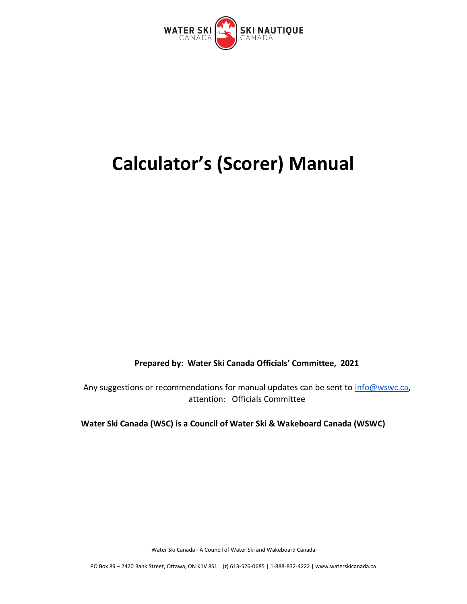

# **Calculator's (Scorer) Manual**

**Prepared by: Water Ski Canada Officials' Committee, 2021**

Any suggestions or recommendations for manual updates can be sent to [info@wswc.ca,](mailto:info@wswc.ca) attention: Officials Committee

**Water Ski Canada (WSC) is a Council of Water Ski & Wakeboard Canada (WSWC)**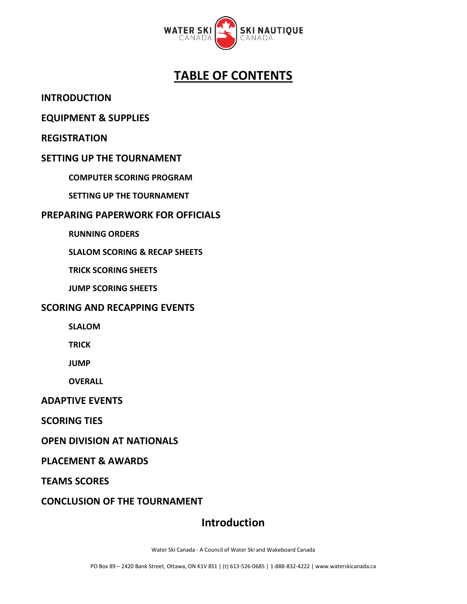

# **TABLE OF CONTENTS**

**INTRODUCTION**

#### **EQUIPMENT & SUPPLIES**

**REGISTRATION**

#### **SETTING UP THE TOURNAMENT**

**COMPUTER SCORING PROGRAM**

**SETTING UP THE TOURNAMENT**

#### **PREPARING PAPERWORK FOR OFFICIALS**

**RUNNING ORDERS**

**SLALOM SCORING & RECAP SHEETS**

 **TRICK SCORING SHEETS**

 **JUMP SCORING SHEETS**

#### **SCORING AND RECAPPING EVENTS**

**SLALOM**

**TRICK**

**JUMP**

**OVERALL**

#### **ADAPTIVE EVENTS**

**SCORING TIES**

**OPEN DIVISION AT NATIONALS**

#### **PLACEMENT & AWARDS**

**TEAMS SCORES**

**CONCLUSION OF THE TOURNAMENT**

## **Introduction**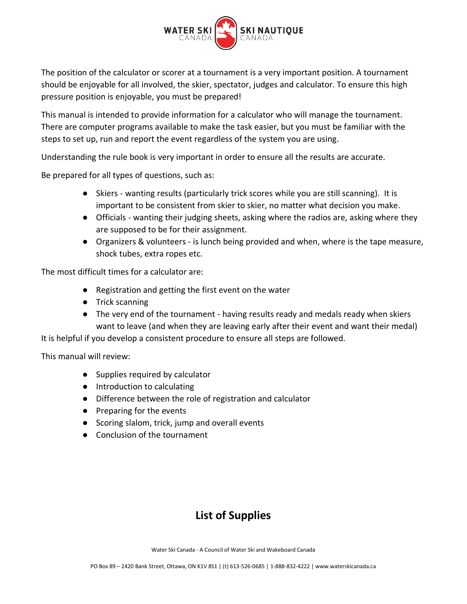

The position of the calculator or scorer at a tournament is a very important position. A tournament should be enjoyable for all involved, the skier, spectator, judges and calculator. To ensure this high pressure position is enjoyable, you must be prepared!

This manual is intended to provide information for a calculator who will manage the tournament. There are computer programs available to make the task easier, but you must be familiar with the steps to set up, run and report the event regardless of the system you are using.

Understanding the rule book is very important in order to ensure all the results are accurate.

Be prepared for all types of questions, such as:

- Skiers wanting results (particularly trick scores while you are still scanning). It is important to be consistent from skier to skier, no matter what decision you make.
- Officials wanting their judging sheets, asking where the radios are, asking where they are supposed to be for their assignment.
- Organizers & volunteers is lunch being provided and when, where is the tape measure, shock tubes, extra ropes etc.

The most difficult times for a calculator are:

- Registration and getting the first event on the water
- Trick scanning
- The very end of the tournament having results ready and medals ready when skiers want to leave (and when they are leaving early after their event and want their medal)

It is helpful if you develop a consistent procedure to ensure all steps are followed.

This manual will review:

- Supplies required by calculator
- Introduction to calculating
- Difference between the role of registration and calculator
- Preparing for the events
- Scoring slalom, trick, jump and overall events
- Conclusion of the tournament

# **List of Supplies**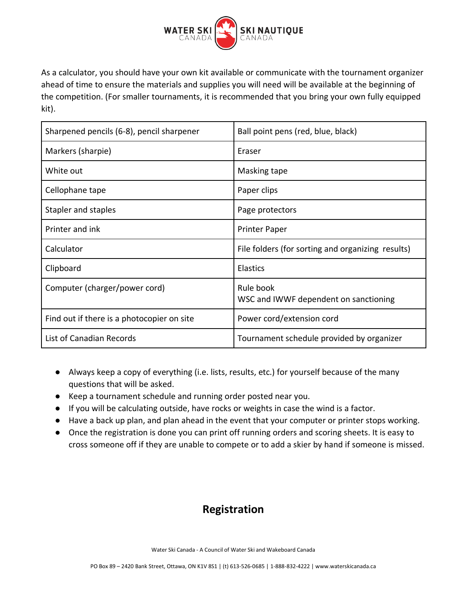

As a calculator, you should have your own kit available or communicate with the tournament organizer ahead of time to ensure the materials and supplies you will need will be available at the beginning of the competition. (For smaller tournaments, it is recommended that you bring your own fully equipped kit).

| Sharpened pencils (6-8), pencil sharpener  | Ball point pens (red, blue, black)                 |
|--------------------------------------------|----------------------------------------------------|
| Markers (sharpie)                          | Eraser                                             |
| White out                                  | Masking tape                                       |
| Cellophane tape                            | Paper clips                                        |
| Stapler and staples                        | Page protectors                                    |
| Printer and ink                            | <b>Printer Paper</b>                               |
| Calculator                                 | File folders (for sorting and organizing results)  |
| Clipboard                                  | <b>Elastics</b>                                    |
| Computer (charger/power cord)              | Rule book<br>WSC and IWWF dependent on sanctioning |
| Find out if there is a photocopier on site | Power cord/extension cord                          |
| List of Canadian Records                   | Tournament schedule provided by organizer          |

- Always keep a copy of everything (i.e. lists, results, etc.) for yourself because of the many questions that will be asked.
- Keep a tournament schedule and running order posted near you.
- If you will be calculating outside, have rocks or weights in case the wind is a factor.
- Have a back up plan, and plan ahead in the event that your computer or printer stops working.
- Once the registration is done you can print off running orders and scoring sheets. It is easy to cross someone off if they are unable to compete or to add a skier by hand if someone is missed.

# **Registration**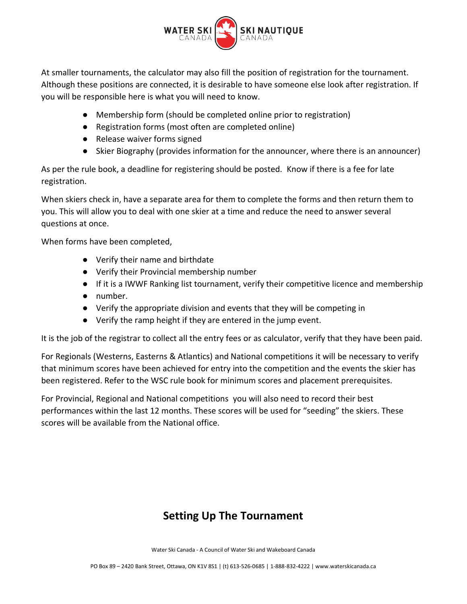

At smaller tournaments, the calculator may also fill the position of registration for the tournament. Although these positions are connected, it is desirable to have someone else look after registration. If you will be responsible here is what you will need to know.

- Membership form (should be completed online prior to registration)
- Registration forms (most often are completed online)
- Release waiver forms signed
- Skier Biography (provides information for the announcer, where there is an announcer)

As per the rule book, a deadline for registering should be posted. Know if there is a fee for late registration.

When skiers check in, have a separate area for them to complete the forms and then return them to you. This will allow you to deal with one skier at a time and reduce the need to answer several questions at once.

When forms have been completed,

- Verify their name and birthdate
- Verify their Provincial membership number
- If it is a IWWF Ranking list tournament, verify their competitive licence and membership
- number.
- Verify the appropriate division and events that they will be competing in
- Verify the ramp height if they are entered in the jump event.

It is the job of the registrar to collect all the entry fees or as calculator, verify that they have been paid.

For Regionals (Westerns, Easterns & Atlantics) and National competitions it will be necessary to verify that minimum scores have been achieved for entry into the competition and the events the skier has been registered. Refer to the WSC rule book for minimum scores and placement prerequisites.

For Provincial, Regional and National competitions you will also need to record their best performances within the last 12 months. These scores will be used for "seeding" the skiers. These scores will be available from the National office.

# **Setting Up The Tournament**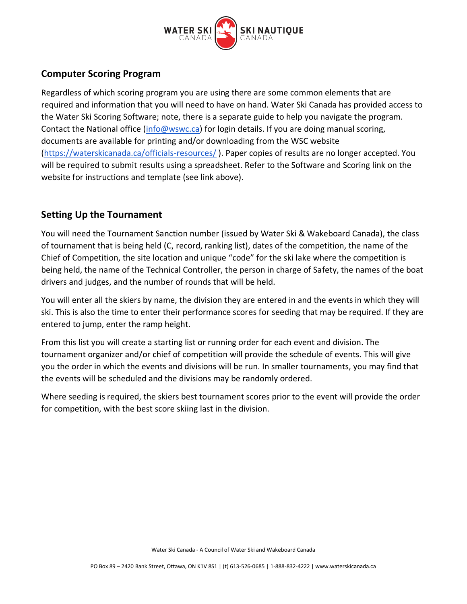

## **Computer Scoring Program**

Regardless of which scoring program you are using there are some common elements that are required and information that you will need to have on hand. Water Ski Canada has provided access to the Water Ski Scoring Software; note, there is a separate guide to help you navigate the program. Contact the National office [\(info@wswc.ca\)](mailto:info@wswc.ca) for login details. If you are doing manual scoring, documents are available for printing and/or downloading from the WSC website [\(https://waterskicanada.ca/officials-resources/](https://waterskicanada.ca/officials-resources/) ). Paper copies of results are no longer accepted. You will be required to submit results using a spreadsheet. Refer to the Software and Scoring link on the website for instructions and template (see link above).

## **Setting Up the Tournament**

You will need the Tournament Sanction number (issued by Water Ski & Wakeboard Canada), the class of tournament that is being held (C, record, ranking list), dates of the competition, the name of the Chief of Competition, the site location and unique "code" for the ski lake where the competition is being held, the name of the Technical Controller, the person in charge of Safety, the names of the boat drivers and judges, and the number of rounds that will be held.

You will enter all the skiers by name, the division they are entered in and the events in which they will ski. This is also the time to enter their performance scores for seeding that may be required. If they are entered to jump, enter the ramp height.

From this list you will create a starting list or running order for each event and division. The tournament organizer and/or chief of competition will provide the schedule of events. This will give you the order in which the events and divisions will be run. In smaller tournaments, you may find that the events will be scheduled and the divisions may be randomly ordered.

Where seeding is required, the skiers best tournament scores prior to the event will provide the order for competition, with the best score skiing last in the division.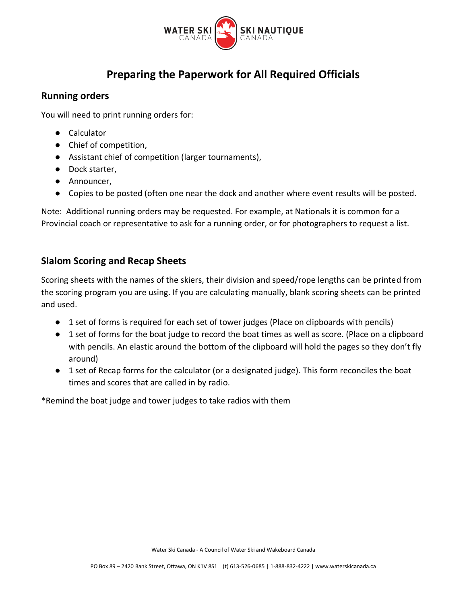

## **Preparing the Paperwork for All Required Officials**

#### **Running orders**

You will need to print running orders for:

- Calculator
- Chief of competition,
- Assistant chief of competition (larger tournaments),
- Dock starter,
- Announcer,
- Copies to be posted (often one near the dock and another where event results will be posted.

Note: Additional running orders may be requested. For example, at Nationals it is common for a Provincial coach or representative to ask for a running order, or for photographers to request a list.

## **Slalom Scoring and Recap Sheets**

Scoring sheets with the names of the skiers, their division and speed/rope lengths can be printed from the scoring program you are using. If you are calculating manually, blank scoring sheets can be printed and used.

- 1 set of forms is required for each set of tower judges (Place on clipboards with pencils)
- 1 set of forms for the boat judge to record the boat times as well as score. (Place on a clipboard with pencils. An elastic around the bottom of the clipboard will hold the pages so they don't fly around)
- 1 set of Recap forms for the calculator (or a designated judge). This form reconciles the boat times and scores that are called in by radio.

\*Remind the boat judge and tower judges to take radios with them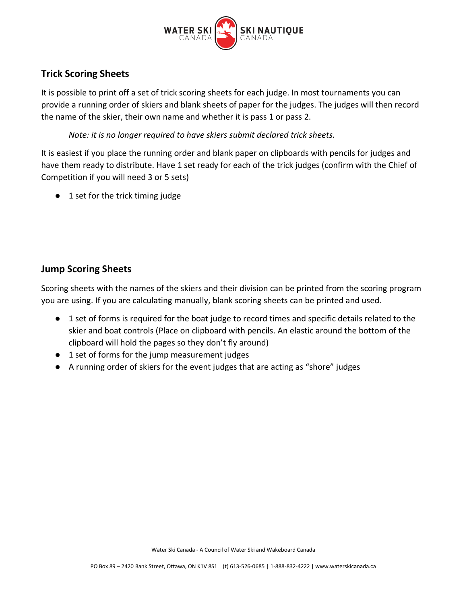

## **Trick Scoring Sheets**

It is possible to print off a set of trick scoring sheets for each judge. In most tournaments you can provide a running order of skiers and blank sheets of paper for the judges. The judges will then record the name of the skier, their own name and whether it is pass 1 or pass 2.

*Note: it is no longer required to have skiers submit declared trick sheets.*

It is easiest if you place the running order and blank paper on clipboards with pencils for judges and have them ready to distribute. Have 1 set ready for each of the trick judges (confirm with the Chief of Competition if you will need 3 or 5 sets)

● 1 set for the trick timing judge

## **Jump Scoring Sheets**

Scoring sheets with the names of the skiers and their division can be printed from the scoring program you are using. If you are calculating manually, blank scoring sheets can be printed and used.

- 1 set of forms is required for the boat judge to record times and specific details related to the skier and boat controls (Place on clipboard with pencils. An elastic around the bottom of the clipboard will hold the pages so they don't fly around)
- 1 set of forms for the jump measurement judges
- A running order of skiers for the event judges that are acting as "shore" judges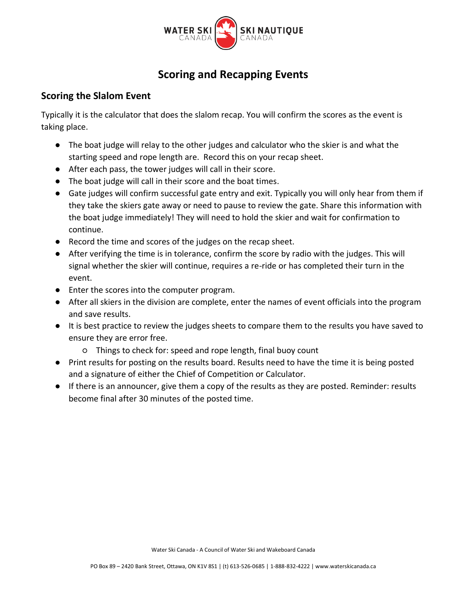

## **Scoring and Recapping Events**

#### **Scoring the Slalom Event**

Typically it is the calculator that does the slalom recap. You will confirm the scores as the event is taking place.

- The boat judge will relay to the other judges and calculator who the skier is and what the starting speed and rope length are. Record this on your recap sheet.
- After each pass, the tower judges will call in their score.
- The boat judge will call in their score and the boat times.
- Gate judges will confirm successful gate entry and exit. Typically you will only hear from them if they take the skiers gate away or need to pause to review the gate. Share this information with the boat judge immediately! They will need to hold the skier and wait for confirmation to continue.
- Record the time and scores of the judges on the recap sheet.
- After verifying the time is in tolerance, confirm the score by radio with the judges. This will signal whether the skier will continue, requires a re-ride or has completed their turn in the event.
- Enter the scores into the computer program.
- After all skiers in the division are complete, enter the names of event officials into the program and save results.
- It is best practice to review the judges sheets to compare them to the results you have saved to ensure they are error free.
	- Things to check for: speed and rope length, final buoy count
- Print results for posting on the results board. Results need to have the time it is being posted and a signature of either the Chief of Competition or Calculator.
- If there is an announcer, give them a copy of the results as they are posted. Reminder: results become final after 30 minutes of the posted time.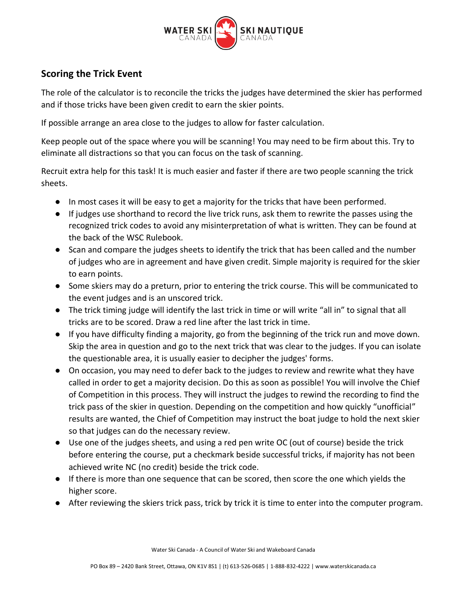

## **Scoring the Trick Event**

The role of the calculator is to reconcile the tricks the judges have determined the skier has performed and if those tricks have been given credit to earn the skier points.

If possible arrange an area close to the judges to allow for faster calculation.

Keep people out of the space where you will be scanning! You may need to be firm about this. Try to eliminate all distractions so that you can focus on the task of scanning.

Recruit extra help for this task! It is much easier and faster if there are two people scanning the trick sheets.

- In most cases it will be easy to get a majority for the tricks that have been performed.
- If judges use shorthand to record the live trick runs, ask them to rewrite the passes using the recognized trick codes to avoid any misinterpretation of what is written. They can be found at the back of the WSC Rulebook.
- Scan and compare the judges sheets to identify the trick that has been called and the number of judges who are in agreement and have given credit. Simple majority is required for the skier to earn points.
- Some skiers may do a preturn, prior to entering the trick course. This will be communicated to the event judges and is an unscored trick.
- The trick timing judge will identify the last trick in time or will write "all in" to signal that all tricks are to be scored. Draw a red line after the last trick in time.
- If you have difficulty finding a majority, go from the beginning of the trick run and move down. Skip the area in question and go to the next trick that was clear to the judges. If you can isolate the questionable area, it is usually easier to decipher the judges' forms.
- On occasion, you may need to defer back to the judges to review and rewrite what they have called in order to get a majority decision. Do this as soon as possible! You will involve the Chief of Competition in this process. They will instruct the judges to rewind the recording to find the trick pass of the skier in question. Depending on the competition and how quickly "unofficial" results are wanted, the Chief of Competition may instruct the boat judge to hold the next skier so that judges can do the necessary review.
- Use one of the judges sheets, and using a red pen write OC (out of course) beside the trick before entering the course, put a checkmark beside successful tricks, if majority has not been achieved write NC (no credit) beside the trick code.
- If there is more than one sequence that can be scored, then score the one which yields the higher score.
- After reviewing the skiers trick pass, trick by trick it is time to enter into the computer program.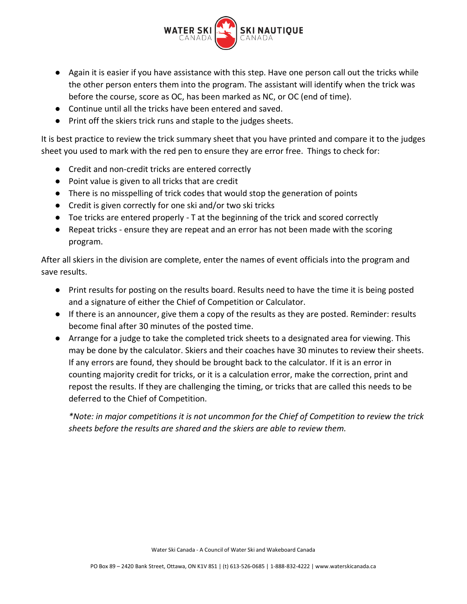

- Again it is easier if you have assistance with this step. Have one person call out the tricks while the other person enters them into the program. The assistant will identify when the trick was before the course, score as OC, has been marked as NC, or OC (end of time).
- Continue until all the tricks have been entered and saved.
- Print off the skiers trick runs and staple to the judges sheets.

It is best practice to review the trick summary sheet that you have printed and compare it to the judges sheet you used to mark with the red pen to ensure they are error free. Things to check for:

- Credit and non-credit tricks are entered correctly
- Point value is given to all tricks that are credit
- There is no misspelling of trick codes that would stop the generation of points
- Credit is given correctly for one ski and/or two ski tricks
- Toe tricks are entered properly T at the beginning of the trick and scored correctly
- Repeat tricks ensure they are repeat and an error has not been made with the scoring program.

After all skiers in the division are complete, enter the names of event officials into the program and save results.

- Print results for posting on the results board. Results need to have the time it is being posted and a signature of either the Chief of Competition or Calculator.
- If there is an announcer, give them a copy of the results as they are posted. Reminder: results become final after 30 minutes of the posted time.
- Arrange for a judge to take the completed trick sheets to a designated area for viewing. This may be done by the calculator. Skiers and their coaches have 30 minutes to review their sheets. If any errors are found, they should be brought back to the calculator. If it is an error in counting majority credit for tricks, or it is a calculation error, make the correction, print and repost the results. If they are challenging the timing, or tricks that are called this needs to be deferred to the Chief of Competition.

*\*Note: in major competitions it is not uncommon for the Chief of Competition to review the trick sheets before the results are shared and the skiers are able to review them.*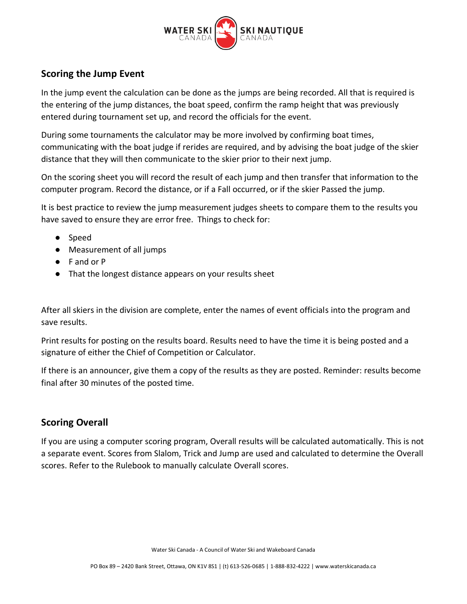

## **Scoring the Jump Event**

In the jump event the calculation can be done as the jumps are being recorded. All that is required is the entering of the jump distances, the boat speed, confirm the ramp height that was previously entered during tournament set up, and record the officials for the event.

During some tournaments the calculator may be more involved by confirming boat times, communicating with the boat judge if rerides are required, and by advising the boat judge of the skier distance that they will then communicate to the skier prior to their next jump.

On the scoring sheet you will record the result of each jump and then transfer that information to the computer program. Record the distance, or if a Fall occurred, or if the skier Passed the jump.

It is best practice to review the jump measurement judges sheets to compare them to the results you have saved to ensure they are error free. Things to check for:

- Speed
- Measurement of all jumps
- F and or P
- That the longest distance appears on your results sheet

After all skiers in the division are complete, enter the names of event officials into the program and save results.

Print results for posting on the results board. Results need to have the time it is being posted and a signature of either the Chief of Competition or Calculator.

If there is an announcer, give them a copy of the results as they are posted. Reminder: results become final after 30 minutes of the posted time.

#### **Scoring Overall**

If you are using a computer scoring program, Overall results will be calculated automatically. This is not a separate event. Scores from Slalom, Trick and Jump are used and calculated to determine the Overall scores. Refer to the Rulebook to manually calculate Overall scores.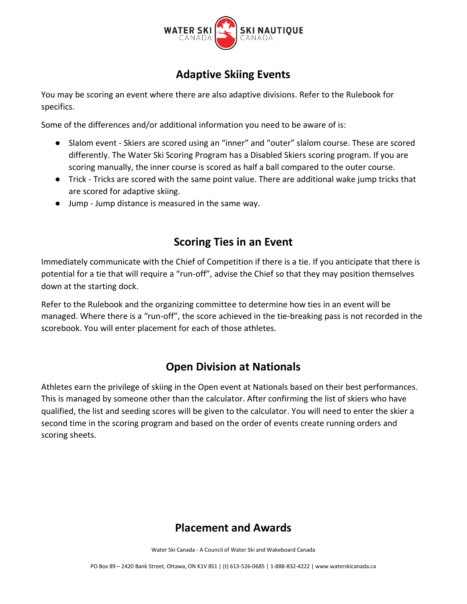

# **Adaptive Skiing Events**

You may be scoring an event where there are also adaptive divisions. Refer to the Rulebook for specifics.

Some of the differences and/or additional information you need to be aware of is:

- Slalom event Skiers are scored using an "inner" and "outer" slalom course. These are scored differently. The Water Ski Scoring Program has a Disabled Skiers scoring program. If you are scoring manually, the inner course is scored as half a ball compared to the outer course.
- Trick Tricks are scored with the same point value. There are additional wake jump tricks that are scored for adaptive skiing.
- Jump Jump distance is measured in the same way.

## **Scoring Ties in an Event**

Immediately communicate with the Chief of Competition if there is a tie. If you anticipate that there is potential for a tie that will require a "run-off", advise the Chief so that they may position themselves down at the starting dock.

Refer to the Rulebook and the organizing committee to determine how ties in an event will be managed. Where there is a "run-off", the score achieved in the tie-breaking pass is not recorded in the scorebook. You will enter placement for each of those athletes.

## **Open Division at Nationals**

Athletes earn the privilege of skiing in the Open event at Nationals based on their best performances. This is managed by someone other than the calculator. After confirming the list of skiers who have qualified, the list and seeding scores will be given to the calculator. You will need to enter the skier a second time in the scoring program and based on the order of events create running orders and scoring sheets.

## **Placement and Awards**